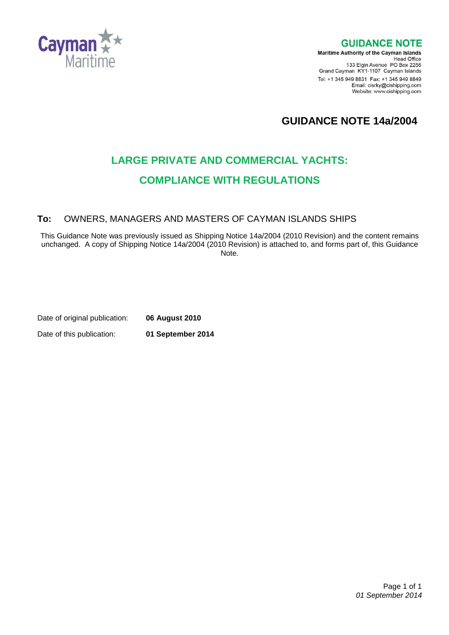

**GUIDANCE NOTE** 

**Maritime Authority of the Cayman Islands** Head Office<br>Head Office<br>The PO Box 2256<br>The KY4 4407 Care PO Box 2256 Grand Cayman KY1-1107 Cayman Islands Tel: +1 345 949 8831 Fax: +1 345 949 8849 Email: cisrky@cishipping.com Website: www.cishipping.com

**GUIDANCE NOTE 14a/2004**

# **LARGE PRIVATE AND COMMERCIAL YACHTS: COMPLIANCE WITH REGULATIONS**

## **To:** OWNERS, MANAGERS AND MASTERS OF CAYMAN ISLANDS SHIPS

This Guidance Note was previously issued as Shipping Notice 14a/2004 (2010 Revision) and the content remains unchanged. A copy of Shipping Notice 14a/2004 (2010 Revision) is attached to, and forms part of, this Guidance Note.

Date of original publication: **06 August 2010**

Date of this publication: **01 September 2014**